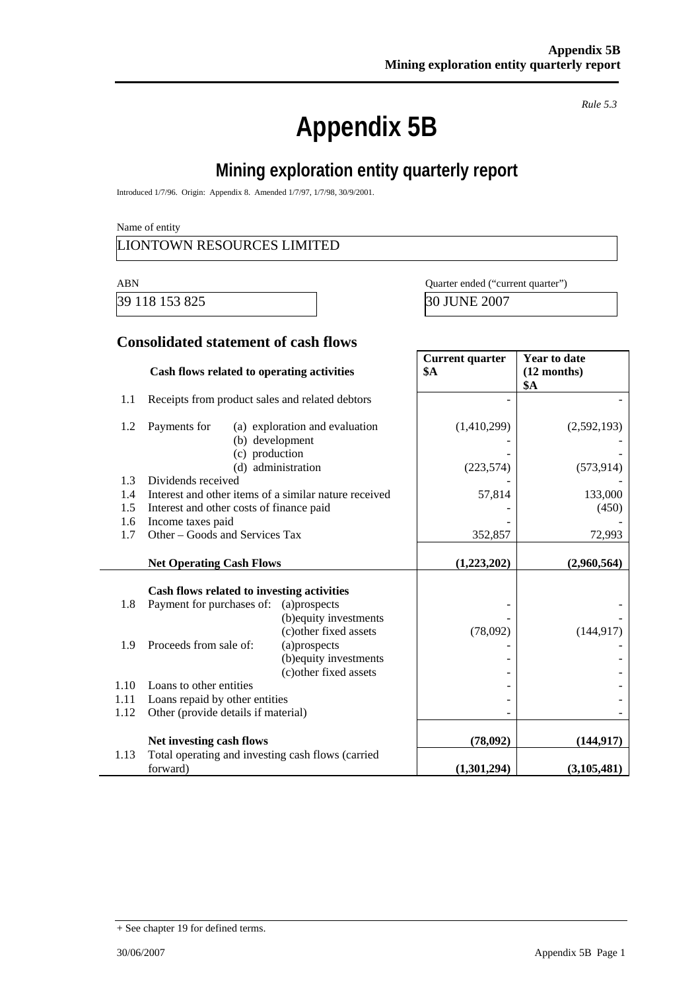# **Appendix 5B**

*Rule 5.3* 

# **Mining exploration entity quarterly report**

Introduced 1/7/96. Origin: Appendix 8. Amended 1/7/97, 1/7/98, 30/9/2001.

Name of entity

#### LIONTOWN RESOURCES LIMITED

39 118 153 825 30 JUNE 2007

ABN Quarter ended ("current quarter")

#### **Consolidated statement of cash flows**

|      | Cash flows related to operating activities                    |                                                                  | <b>Current quarter</b><br><b>\$A</b> | <b>Year to date</b><br>$(12$ months)<br>\$A |
|------|---------------------------------------------------------------|------------------------------------------------------------------|--------------------------------------|---------------------------------------------|
| 1.1  | Receipts from product sales and related debtors               |                                                                  |                                      |                                             |
| 1.2  | Payments for<br>(b) development<br>(c) production             | (a) exploration and evaluation                                   | (1,410,299)                          | (2,592,193)                                 |
|      |                                                               | (d) administration                                               | (223, 574)                           | (573, 914)                                  |
| 1.3  | Dividends received                                            |                                                                  |                                      |                                             |
| 1.4  | Interest and other items of a similar nature received         |                                                                  | 57,814                               | 133,000                                     |
| 1.5  | Interest and other costs of finance paid                      |                                                                  |                                      | (450)                                       |
| 1.6  | Income taxes paid                                             |                                                                  |                                      |                                             |
| 1.7  | Other – Goods and Services Tax                                |                                                                  | 352,857                              | 72,993                                      |
|      | <b>Net Operating Cash Flows</b>                               |                                                                  | (1,223,202)                          | (2,960,564)                                 |
|      | Cash flows related to investing activities                    |                                                                  |                                      |                                             |
| 1.8  | Payment for purchases of:                                     | (a)prospects                                                     |                                      |                                             |
|      |                                                               | (b) equity investments<br>(c) other fixed assets                 | (78,092)                             | (144, 917)                                  |
| 1.9  | Proceeds from sale of:                                        | (a)prospects<br>(b) equity investments<br>(c) other fixed assets |                                      |                                             |
| 1.10 | Loans to other entities                                       |                                                                  |                                      |                                             |
| 1.11 | Loans repaid by other entities                                |                                                                  |                                      |                                             |
| 1.12 | Other (provide details if material)                           |                                                                  |                                      |                                             |
|      | Net investing cash flows                                      |                                                                  | (78,092)                             | (144, 917)                                  |
| 1.13 | Total operating and investing cash flows (carried<br>forward) |                                                                  | (1,301,294)                          | (3, 105, 481)                               |

<sup>+</sup> See chapter 19 for defined terms.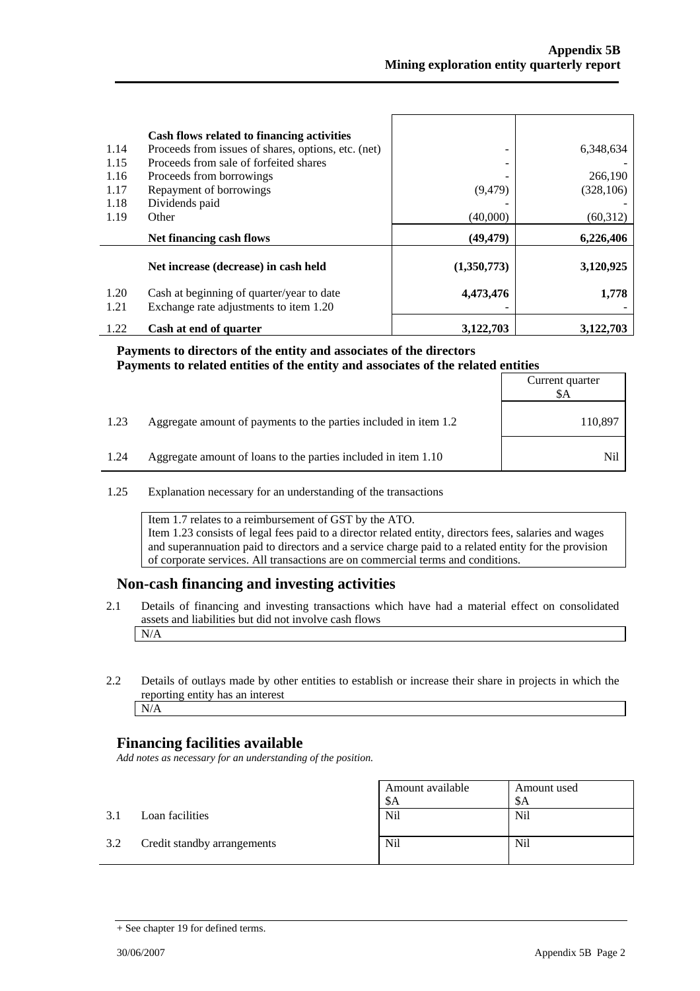| 1.14 | Cash flows related to financing activities<br>Proceeds from issues of shares, options, etc. (net) |             | 6,348,634  |
|------|---------------------------------------------------------------------------------------------------|-------------|------------|
| 1.15 | Proceeds from sale of forfeited shares                                                            |             |            |
| 1.16 | Proceeds from borrowings                                                                          |             | 266,190    |
| 1.17 | Repayment of borrowings                                                                           | (9, 479)    | (328, 106) |
| 1.18 | Dividends paid                                                                                    |             |            |
| 1.19 | Other                                                                                             | (40,000)    | (60, 312)  |
|      | Net financing cash flows                                                                          | (49, 479)   | 6,226,406  |
|      | Net increase (decrease) in cash held                                                              | (1,350,773) | 3,120,925  |
|      |                                                                                                   |             |            |
| 1.20 | Cash at beginning of quarter/year to date                                                         | 4,473,476   | 1,778      |
| 1.21 | Exchange rate adjustments to item 1.20                                                            |             |            |

#### **Payments to directors of the entity and associates of the directors Payments to related entities of the entity and associates of the related entities**

|      |                                                                  | Current quarter<br>\$A |
|------|------------------------------------------------------------------|------------------------|
| 1.23 | Aggregate amount of payments to the parties included in item 1.2 | 110,897                |
| 1.24 | Aggregate amount of loans to the parties included in item 1.10   | Nil                    |

1.25 Explanation necessary for an understanding of the transactions

Item 1.7 relates to a reimbursement of GST by the ATO. Item 1.23 consists of legal fees paid to a director related entity, directors fees, salaries and wages and superannuation paid to directors and a service charge paid to a related entity for the provision of corporate services. All transactions are on commercial terms and conditions.

#### **Non-cash financing and investing activities**

- 2.1 Details of financing and investing transactions which have had a material effect on consolidated assets and liabilities but did not involve cash flows N/A
- 2.2 Details of outlays made by other entities to establish or increase their share in projects in which the reporting entity has an interest N/A

#### **Financing facilities available**

*Add notes as necessary for an understanding of the position.* 

|     |                             | Amount available<br>\$A | Amount used<br>-SA |
|-----|-----------------------------|-------------------------|--------------------|
| 3.1 | Loan facilities             | Nil                     | <b>Nil</b>         |
| 3.2 | Credit standby arrangements | Nil                     | <b>Nil</b>         |

<sup>+</sup> See chapter 19 for defined terms.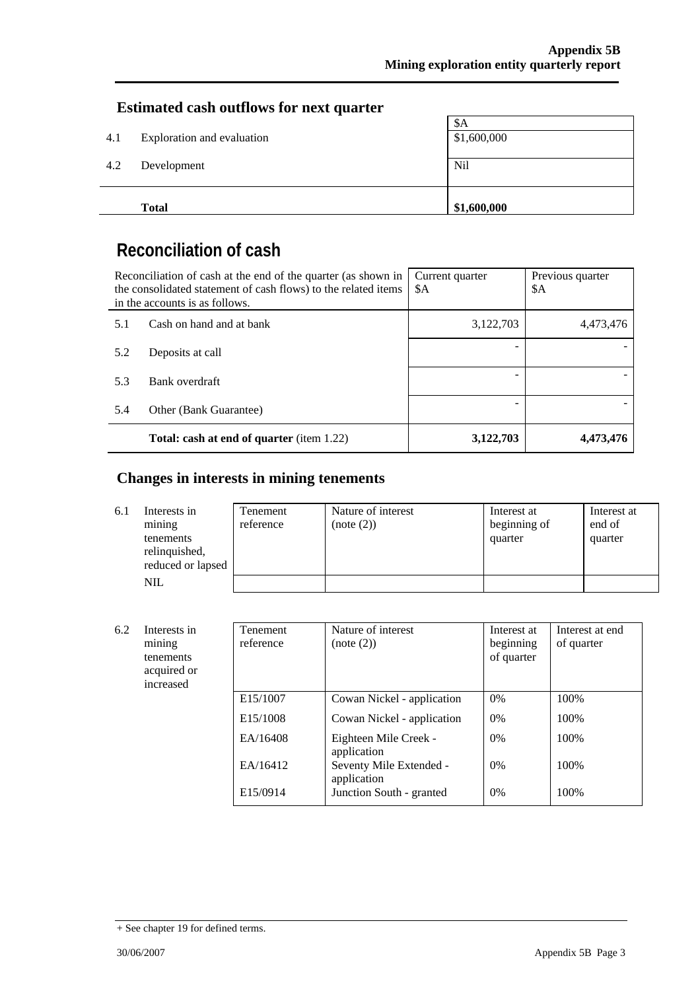### **Estimated cash outflows for next quarter**

|     | <b>Total</b>               | \$1,600,000 |
|-----|----------------------------|-------------|
| 4.2 | Development                | Nil         |
| 4.1 | Exploration and evaluation | \$1,600,000 |
|     |                            | \$A         |

## **Reconciliation of cash**

| Reconciliation of cash at the end of the quarter (as shown in<br>the consolidated statement of cash flows) to the related items<br>in the accounts is as follows. |                                                  | Current quarter<br>\$A | Previous quarter<br>\$A |
|-------------------------------------------------------------------------------------------------------------------------------------------------------------------|--------------------------------------------------|------------------------|-------------------------|
| 5.1                                                                                                                                                               | Cash on hand and at bank                         | 3,122,703              | 4,473,476               |
| 5.2                                                                                                                                                               | Deposits at call                                 |                        |                         |
| 5.3                                                                                                                                                               | Bank overdraft                                   |                        |                         |
| 5.4                                                                                                                                                               | Other (Bank Guarantee)                           |                        |                         |
|                                                                                                                                                                   | <b>Total: cash at end of quarter</b> (item 1.22) | 3,122,703              | 4,473,476               |

## **Changes in interests in mining tenements**

| 6.1 | Interests in<br>mining<br>tenements<br>relinquished,<br>reduced or lapsed | Tenement<br>reference | Nature of interest<br>(note (2)) | Interest at<br>beginning of<br>quarter | Interest at<br>end of<br>quarter |
|-----|---------------------------------------------------------------------------|-----------------------|----------------------------------|----------------------------------------|----------------------------------|
|     | <b>NIL</b>                                                                |                       |                                  |                                        |                                  |

| 6.2 | Interests in<br>mining<br>tenements<br>acquired or<br>increased | <b>Tenement</b><br>reference | Nature of interest<br>(note (2))       | Interest at<br>beginning<br>of quarter | Interest at end<br>of quarter |
|-----|-----------------------------------------------------------------|------------------------------|----------------------------------------|----------------------------------------|-------------------------------|
|     |                                                                 | E15/1007                     | Cowan Nickel - application             | 0%                                     | 100%                          |
|     |                                                                 | E <sub>15</sub> /1008        | Cowan Nickel - application             | $0\%$                                  | 100\%                         |
|     |                                                                 | EA/16408                     | Eighteen Mile Creek -<br>application   | $0\%$                                  | 100\%                         |
|     |                                                                 | EA/16412                     | Seventy Mile Extended -<br>application | $0\%$                                  | 100\%                         |
|     |                                                                 | E15/0914                     | Junction South - granted               | $0\%$                                  | 100%                          |

<sup>+</sup> See chapter 19 for defined terms.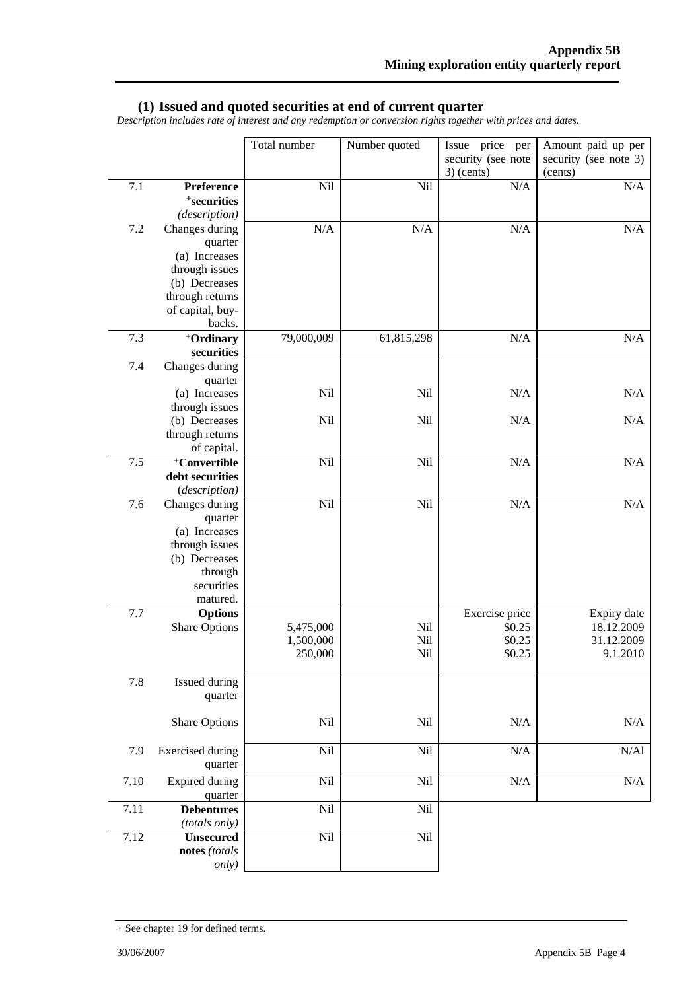#### **(1) Issued and quoted securities at end of current quarter**

*Description includes rate of interest and any redemption or conversion rights together with prices and dates.* 

|      |                                        | Total number | Number quoted | Issue price per<br>security (see note | Amount paid up per<br>security (see note 3) |
|------|----------------------------------------|--------------|---------------|---------------------------------------|---------------------------------------------|
|      |                                        |              |               | $3)$ (cents)                          | (cents)                                     |
| 7.1  | Preference<br><sup>+</sup> securities  | Nil          | Nil           | N/A                                   | N/A                                         |
|      | (description)                          |              |               |                                       |                                             |
| 7.2  | Changes during                         | N/A          | N/A           | N/A                                   | $\rm N/A$                                   |
|      | quarter                                |              |               |                                       |                                             |
|      | (a) Increases                          |              |               |                                       |                                             |
|      | through issues                         |              |               |                                       |                                             |
|      | (b) Decreases                          |              |               |                                       |                                             |
|      | through returns                        |              |               |                                       |                                             |
|      | of capital, buy-                       |              |               |                                       |                                             |
|      | backs.                                 |              |               |                                       |                                             |
| 7.3  | <sup>+</sup> Ordinary                  | 79,000,009   | 61,815,298    | N/A                                   | N/A                                         |
|      | securities                             |              |               |                                       |                                             |
| 7.4  | Changes during                         |              |               |                                       |                                             |
|      | quarter                                |              |               |                                       |                                             |
|      | (a) Increases                          | Nil          | Nil           | N/A                                   | N/A                                         |
|      | through issues<br>(b) Decreases        | Nil          | Nil           | N/A                                   | N/A                                         |
|      | through returns                        |              |               |                                       |                                             |
|      | of capital.                            |              |               |                                       |                                             |
| 7.5  | <sup>+</sup> Convertible               | Nil          | Nil           | N/A                                   | N/A                                         |
|      | debt securities                        |              |               |                                       |                                             |
|      | (description)                          |              |               |                                       |                                             |
| 7.6  | Changes during                         | Nil          | Nil           | N/A                                   | $\rm N/A$                                   |
|      | quarter                                |              |               |                                       |                                             |
|      | (a) Increases                          |              |               |                                       |                                             |
|      | through issues                         |              |               |                                       |                                             |
|      | (b) Decreases                          |              |               |                                       |                                             |
|      | through                                |              |               |                                       |                                             |
|      | securities                             |              |               |                                       |                                             |
| 7.7  | matured.                               |              |               | Exercise price                        |                                             |
|      | <b>Options</b><br><b>Share Options</b> | 5,475,000    | Nil           | \$0.25                                | Expiry date<br>18.12.2009                   |
|      |                                        | 1,500,000    | Nil           | \$0.25                                | 31.12.2009                                  |
|      |                                        | 250,000      | Nil           | \$0.25                                | 9.1.2010                                    |
|      |                                        |              |               |                                       |                                             |
| 7.8  | Issued during                          |              |               |                                       |                                             |
|      | quarter                                |              |               |                                       |                                             |
|      |                                        |              |               |                                       |                                             |
|      | <b>Share Options</b>                   | Nil          | Nil           | N/A                                   | N/A                                         |
|      |                                        |              |               |                                       |                                             |
| 7.9  | <b>Exercised</b> during                | Nil          | Nil           | N/A                                   | $\rm N/Al$                                  |
|      | quarter                                |              |               |                                       |                                             |
| 7.10 | <b>Expired during</b>                  | Nil          | Nil           | N/A                                   | $\rm N/A$                                   |
|      | quarter                                |              |               |                                       |                                             |
| 7.11 | <b>Debentures</b>                      | Nil          | Nil           |                                       |                                             |
|      | (totals only)                          |              |               |                                       |                                             |
| 7.12 | <b>Unsecured</b>                       | Nil          | Nil           |                                       |                                             |
|      | notes (totals                          |              |               |                                       |                                             |
|      | only)                                  |              |               |                                       |                                             |

<sup>+</sup> See chapter 19 for defined terms.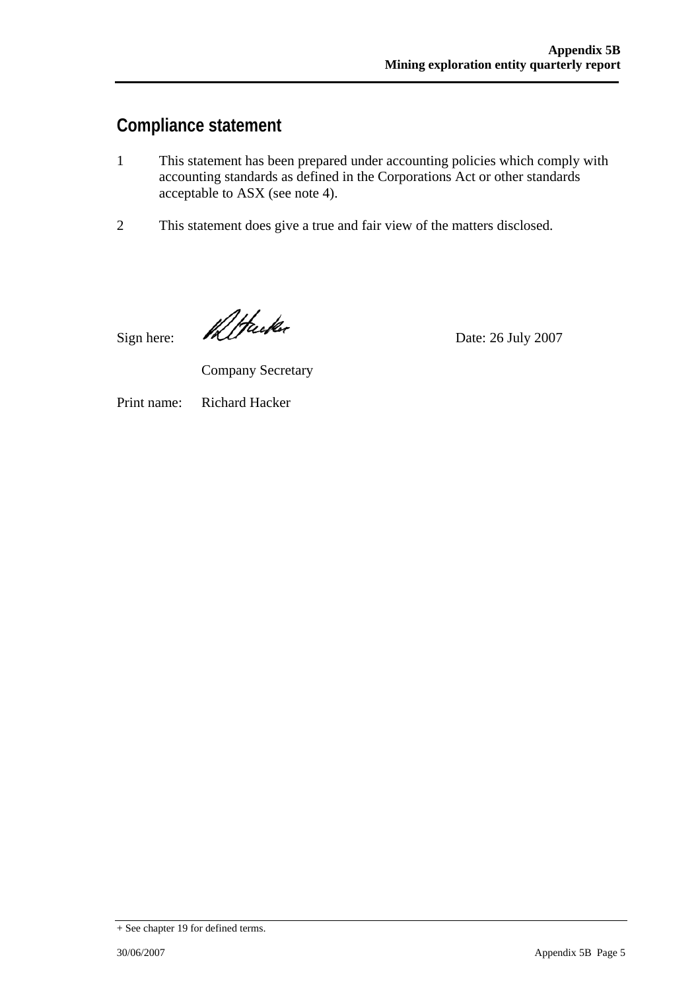## **Compliance statement**

- 1 This statement has been prepared under accounting policies which comply with accounting standards as defined in the Corporations Act or other standards acceptable to ASX (see note 4).
- 2 This statement does give a true and fair view of the matters disclosed.

Sign here:  $\mathcal{U}/\mathcal{U}$ 

Company Secretary

Print name: Richard Hacker

+ See chapter 19 for defined terms.